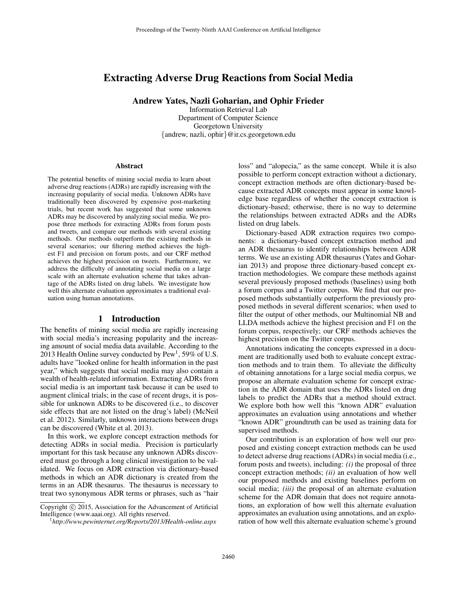# Extracting Adverse Drug Reactions from Social Media

Andrew Yates, Nazli Goharian, and Ophir Frieder

Information Retrieval Lab Department of Computer Science Georgetown University {andrew, nazli, ophir}@ir.cs.georgetown.edu

#### Abstract

The potential benefits of mining social media to learn about adverse drug reactions (ADRs) are rapidly increasing with the increasing popularity of social media. Unknown ADRs have traditionally been discovered by expensive post-marketing trials, but recent work has suggested that some unknown ADRs may be discovered by analyzing social media. We propose three methods for extracting ADRs from forum posts and tweets, and compare our methods with several existing methods. Our methods outperform the existing methods in several scenarios; our filtering method achieves the highest F1 and precision on forum posts, and our CRF method achieves the highest precision on tweets. Furthermore, we address the difficulty of annotating social media on a large scale with an alternate evaluation scheme that takes advantage of the ADRs listed on drug labels. We investigate how well this alternate evaluation approximates a traditional evaluation using human annotations.

### 1 Introduction

The benefits of mining social media are rapidly increasing with social media's increasing popularity and the increasing amount of social media data available. According to the 2013 Health Online survey conducted by  $Pew<sup>1</sup>$ , 59% of U.S. adults have "looked online for health information in the past year," which suggests that social media may also contain a wealth of health-related information. Extracting ADRs from social media is an important task because it can be used to augment clinical trials; in the case of recent drugs, it is possible for unknown ADRs to be discovered (i.e., to discover side effects that are not listed on the drug's label) (McNeil et al. 2012). Similarly, unknown interactions between drugs can be discovered (White et al. 2013).

In this work, we explore concept extraction methods for detecting ADRs in social media. Precision is particularly important for this task because any unknown ADRs discovered must go through a long clinical investigation to be validated. We focus on ADR extraction via dictionary-based methods in which an ADR dictionary is created from the terms in an ADR thesaurus. The thesaurus is necessary to treat two synonymous ADR terms or phrases, such as "hair

loss" and "alopecia," as the same concept. While it is also possible to perform concept extraction without a dictionary, concept extraction methods are often dictionary-based because extracted ADR concepts must appear in some knowledge base regardless of whether the concept extraction is dictionary-based; otherwise, there is no way to determine the relationships between extracted ADRs and the ADRs listed on drug labels.

Dictionary-based ADR extraction requires two components: a dictionary-based concept extraction method and an ADR thesaurus to identify relationships between ADR terms. We use an existing ADR thesaurus (Yates and Goharian 2013) and propose three dictionary-based concept extraction methodologies. We compare these methods against several previously proposed methods (baselines) using both a forum corpus and a Twitter corpus. We find that our proposed methods substantially outperform the previously proposed methods in several different scenarios; when used to filter the output of other methods, our Multinomial NB and LLDA methods achieve the highest precision and F1 on the forum corpus, respectively; our CRF methods achieves the highest precision on the Twitter corpus.

Annotations indicating the concepts expressed in a document are traditionally used both to evaluate concept extraction methods and to train them. To alleviate the difficulty of obtaining annotations for a large social media corpus, we propose an alternate evaluation scheme for concept extraction in the ADR domain that uses the ADRs listed on drug labels to predict the ADRs that a method should extract. We explore both how well this "known ADR" evaluation approximates an evaluation using annotations and whether "known ADR" groundtruth can be used as training data for supervised methods.

Our contribution is an exploration of how well our proposed and existing concept extraction methods can be used to detect adverse drug reactions (ADRs) in social media (i.e., forum posts and tweets), including: *(i)* the proposal of three concept extraction methods; *(ii)* an evaluation of how well our proposed methods and existing baselines perform on social media; *(iii)* the proposal of an alternate evaluation scheme for the ADR domain that does not require annotations, an exploration of how well this alternate evaluation approximates an evaluation using annotations, and an exploration of how well this alternate evaluation scheme's ground

Copyright (c) 2015, Association for the Advancement of Artificial Intelligence (www.aaai.org). All rights reserved.

<sup>1</sup> *http://www.pewinternet.org/Reports/2013/Health-online.aspx*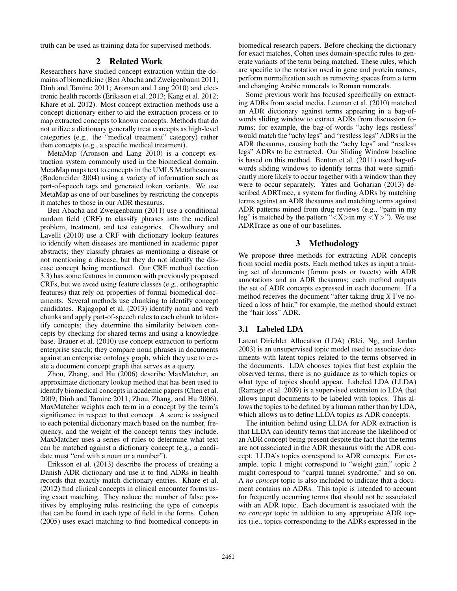truth can be used as training data for supervised methods.

# 2 Related Work

Researchers have studied concept extraction within the domains of biomedicine (Ben Abacha and Zweigenbaum 2011; Dinh and Tamine 2011; Aronson and Lang 2010) and electronic health records (Eriksson et al. 2013; Kang et al. 2012; Khare et al. 2012). Most concept extraction methods use a concept dictionary either to aid the extraction process or to map extracted concepts to known concepts. Methods that do not utilize a dictionary generally treat concepts as high-level categories (e.g., the "medical treatment" category) rather than concepts (e.g., a specific medical treatment).

MetaMap (Aronson and Lang 2010) is a concept extraction system commonly used in the biomedical domain. MetaMap maps text to concepts in the UMLS Metathesaurus (Bodenreider 2004) using a variety of information such as part-of-speech tags and generated token variants. We use MetaMap as one of our baselines by restricting the concepts it matches to those in our ADR thesaurus.

Ben Abacha and Zweigenbaum (2011) use a conditional random field (CRF) to classify phrases into the medical problem, treatment, and test categories. Chowdhury and Lavelli (2010) use a CRF with dictionary lookup features to identify when diseases are mentioned in academic paper abstracts; they classify phrases as mentioning a disease or not mentioning a disease, but they do not identify the disease concept being mentioned. Our CRF method (section 3.3) has some features in common with previously proposed CRFs, but we avoid using feature classes (e.g., orthographic features) that rely on properties of formal biomedical documents. Several methods use chunking to identify concept candidates. Rajagopal et al. (2013) identify noun and verb chunks and apply part-of-speech rules to each chunk to identify concepts; they determine the similarity between concepts by checking for shared terms and using a knowledge base. Brauer et al. (2010) use concept extraction to perform enterprise search; they compare noun phrases in documents against an enterprise ontology graph, which they use to create a document concept graph that serves as a query.

Zhou, Zhang, and Hu (2006) describe MaxMatcher, an approximate dictionary lookup method that has been used to identify biomedical concepts in academic papers (Chen et al. 2009; Dinh and Tamine 2011; Zhou, Zhang, and Hu 2006). MaxMatcher weights each term in a concept by the term's significance in respect to that concept. A score is assigned to each potential dictionary match based on the number, frequency, and the weight of the concept terms they include. MaxMatcher uses a series of rules to determine what text can be matched against a dictionary concept (e.g., a candidate must "end with a noun or a number").

Eriksson et al. (2013) describe the process of creating a Danish ADR dictionary and use it to find ADRs in health records that exactly match dictionary entries. Khare et al. (2012) find clinical concepts in clinical encounter forms using exact matching. They reduce the number of false positives by employing rules restricting the type of concepts that can be found in each type of field in the forms. Cohen (2005) uses exact matching to find biomedical concepts in

biomedical research papers. Before checking the dictionary for exact matches, Cohen uses domain-specific rules to generate variants of the term being matched. These rules, which are specific to the notation used in gene and protein names, perform normalization such as removing spaces from a term and changing Arabic numerals to Roman numerals.

Some previous work has focused specifically on extracting ADRs from social media. Leaman et al. (2010) matched an ADR dictionary against terms appearing in a bag-ofwords sliding window to extract ADRs from discussion forums; for example, the bag-of-words "achy legs restless" would match the "achy legs" and "restless legs" ADRs in the ADR thesaurus, causing both the "achy legs" and "restless legs" ADRs to be extracted. Our Sliding Window baseline is based on this method. Benton et al. (2011) used bag-ofwords sliding windows to identify terms that were significantly more likely to occur together with a window than they were to occur separately. Yates and Goharian (2013) described ADRTrace, a system for finding ADRs by matching terms against an ADR thesaurus and matching terms against ADR patterns mined from drug reviews (e.g., "pain in my leg" is matched by the pattern " $\langle X \rangle$ in my  $\langle Y \rangle$ "). We use ADRTrace as one of our baselines.

# 3 Methodology

We propose three methods for extracting ADR concepts from social media posts. Each method takes as input a training set of documents (forum posts or tweets) with ADR annotations and an ADR thesaurus; each method outputs the set of ADR concepts expressed in each document. If a method receives the document "after taking drug *X* I've noticed a loss of hair," for example, the method should extract the "hair loss" ADR.

### 3.1 Labeled LDA

Latent Dirichlet Allocation (LDA) (Blei, Ng, and Jordan 2003) is an unsupervised topic model used to associate documents with latent topics related to the terms observed in the documents. LDA chooses topics that best explain the observed terms; there is no guidance as to which topics or what type of topics should appear. Labeled LDA (LLDA) (Ramage et al. 2009) is a supervised extension to LDA that allows input documents to be labeled with topics. This allows the topics to be defined by a human rather than by LDA, which allows us to define LLDA topics as ADR concepts.

The intuition behind using LLDA for ADR extraction is that LLDA can identify terms that increase the likelihood of an ADR concept being present despite the fact that the terms are not associated in the ADR thesaurus with the ADR concept. LLDA's topics correspond to ADR concepts. For example, topic 1 might correspond to "weight gain," topic 2 might correspond to "carpal tunnel syndrome," and so on. A *no concept* topic is also included to indicate that a document contains no ADRs. This topic is intended to account for frequently occurring terms that should not be associated with an ADR topic. Each document is associated with the *no concept* topic in addition to any appropriate ADR topics (i.e., topics corresponding to the ADRs expressed in the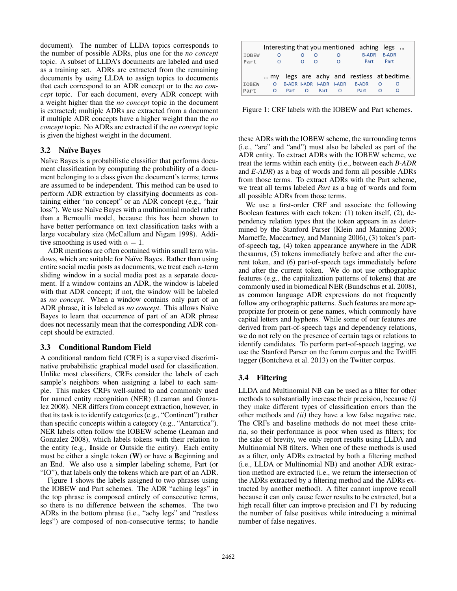document). The number of LLDA topics corresponds to the number of possible ADRs, plus one for the *no concept* topic. A subset of LLDA's documents are labeled and used as a training set. ADRs are extracted from the remaining documents by using LLDA to assign topics to documents that each correspond to an ADR concept or to the *no concept* topic. For each document, every ADR concept with a weight higher than the *no concept* topic in the document is extracted; multiple ADRs are extracted from a document if multiple ADR concepts have a higher weight than the *no concept* topic. No ADRs are extracted if the *no concept* topic is given the highest weight in the document.

# 3.2 Naïve Bayes

Naïve Bayes is a probabilistic classifier that performs document classification by computing the probability of a document belonging to a class given the document's terms; terms are assumed to be independent. This method can be used to perform ADR extraction by classifying documents as containing either "no concept" or an ADR concept (e.g., "hair loss"). We use Naïve Bayes with a multinomial model rather than a Bernoulli model, because this has been shown to have better performance on text classification tasks with a large vocabulary size (McCallum and Nigam 1998). Additive smoothing is used with  $\alpha = 1$ .

ADR mentions are often contained within small term windows, which are suitable for Naïve Bayes. Rather than using entire social media posts as documents, we treat each n-term sliding window in a social media post as a separate document. If a window contains an ADR, the window is labeled with that ADR concept; if not, the window will be labeled as *no concept*. When a window contains only part of an ADR phrase, it is labeled as *no concept*. This allows Naïve Bayes to learn that occurrence of part of an ADR phrase does not necessarily mean that the corresponding ADR concept should be extracted.

# 3.3 Conditional Random Field

A conditional random field (CRF) is a supervised discriminative probabilistic graphical model used for classification. Unlike most classifiers, CRFs consider the labels of each sample's neighbors when assigning a label to each sample. This makes CRFs well-suited to and commonly used for named entity recognition (NER) (Leaman and Gonzalez 2008). NER differs from concept extraction, however, in that its task is to identify categories (e.g., "Continent") rather than specific concepts within a category (e.g., "Antarctica"). NER labels often follow the IOBEW scheme (Leaman and Gonzalez 2008), which labels tokens with their relation to the entity (e.g., Inside or Outside the entity). Each entity must be either a single token (W) or have a Beginning and an End. We also use a simpler labeling scheme, Part (or "IO"), that labels only the tokens which are part of an ADR.

Figure 1 shows the labels assigned to two phrases using the IOBEW and Part schemes. The ADR "aching legs" in the top phrase is composed entirely of consecutive terms, so there is no difference between the schemes. The two ADRs in the bottom phrase (i.e., "achy legs" and "restless legs") are composed of non-consecutive terms; to handle

|              |          |             |                         |          | Interesting that you mentioned aching legs |          |                                           |
|--------------|----------|-------------|-------------------------|----------|--------------------------------------------|----------|-------------------------------------------|
| <b>IOBEW</b> | O        |             | ∩                       | $\Omega$ | <b>B-ADR</b>                               |          | <b>F-ADR</b>                              |
| Part         | $\Omega$ | $\Omega$    | n                       | $\Omega$ | Part                                       |          | Part                                      |
|              |          |             |                         |          |                                            |          |                                           |
|              |          |             |                         |          |                                            |          | my legs are achy and restless at bedtime. |
| <b>TOBFW</b> | $\Omega$ |             | B-ADR I-ADR I-ADR I-ADR |          | <b>F-ADR</b>                               | $\Omega$ | $\Omega$                                  |
| Part         | O        | Part O Part |                         | $\Omega$ | Part                                       |          |                                           |

Figure 1: CRF labels with the IOBEW and Part schemes.

these ADRs with the IOBEW scheme, the surrounding terms (i.e., "are" and "and") must also be labeled as part of the ADR entity. To extract ADRs with the IOBEW scheme, we treat the terms within each entity (i.e., between each *B-ADR* and *E-ADR*) as a bag of words and form all possible ADRs from those terms. To extract ADRs with the Part scheme, we treat all terms labeled *Part* as a bag of words and form all possible ADRs from those terms.

We use a first-order CRF and associate the following Boolean features with each token: (1) token itself, (2), dependency relation types that the token appears in as determined by the Stanford Parser (Klein and Manning 2003; Marneffe, Maccartney, and Manning 2006), (3) token's partof-speech tag, (4) token appearance anywhere in the ADR thesaurus, (5) tokens immediately before and after the current token, and (6) part-of-speech tags immediately before and after the current token. We do not use orthographic features (e.g., the capitalization patterns of tokens) that are commonly used in biomedical NER (Bundschus et al. 2008), as common language ADR expressions do not frequently follow any orthographic patterns. Such features are more appropriate for protein or gene names, which commonly have capital letters and hyphens. While some of our features are derived from part-of-speech tags and dependency relations, we do not rely on the presence of certain tags or relations to identify candidates. To perform part-of-speech tagging, we use the Stanford Parser on the forum corpus and the TwitIE tagger (Bontcheva et al. 2013) on the Twitter corpus.

# 3.4 Filtering

LLDA and Multinomial NB can be used as a filter for other methods to substantially increase their precision, because *(i)* they make different types of classification errors than the other methods and *(ii)* they have a low false negative rate. The CRFs and baseline methods do not meet these criteria, so their performance is poor when used as filters; for the sake of brevity, we only report results using LLDA and Multinomial NB filters. When one of these methods is used as a filter, only ADRs extracted by both a filtering method (i.e., LLDA or Multinomial NB) and another ADR extraction method are extracted (i.e., we return the intersection of the ADRs extracted by a filtering method and the ADRs extracted by another method). A filter cannot improve recall because it can only cause fewer results to be extracted, but a high recall filter can improve precision and F1 by reducing the number of false positives while introducing a minimal number of false negatives.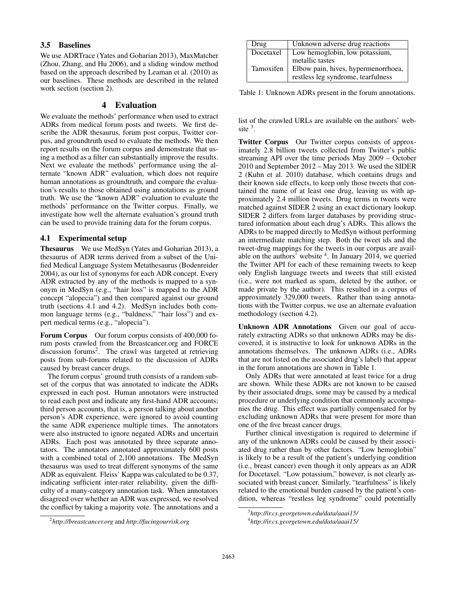## 3.5 Baselines

We use ADRTrace (Yates and Goharian 2013), MaxMatcher (Zhou, Zhang, and Hu 2006), and a sliding window method based on the approach described by Leaman et al. (2010) as our baselines. These methods are described in the related work section (section 2).

# 4 Evaluation

We evaluate the methods' performance when used to extract ADRs from medical forum posts and tweets. We first describe the ADR thesaurus, forum post corpus, Twitter corpus, and groundtruth used to evaluate the methods. We then report results on the forum corpus and demonstrate that using a method as a filter can substantially improve the results. Next we evaluate the methods' performance using the alternate "known ADR" evaluation, which does not require human annotations as groundtruth, and compare the evaluation's results to those obtained using annotations as ground truth. We use the "known ADR" evaluation to evaluate the methods' performance on the Twitter corpus. Finally, we investigate how well the alternate evaluation's ground truth can be used to provide training data for the forum corpus.

# 4.1 Experimental setup

Thesaurus We use MedSyn (Yates and Goharian 2013), a thesaurus of ADR terms derived from a subset of the Unified Medical Language System Metathesaurus (Bodenreider 2004), as our list of synonyms for each ADR concept. Every ADR extracted by any of the methods is mapped to a synonym in MedSyn (e.g., "hair loss" is mapped to the ADR concept "alopecia") and then compared against our ground truth (sections 4.1 and 4.2). MedSyn includes both common language terms (e.g., "baldness," "hair loss") and expert medical terms (e.g., "alopecia").

Forum Corpus Our forum corpus consists of 400,000 forum posts crawled from the Breastcancer.org and FORCE discussion forums<sup>2</sup>. The crawl was targeted at retrieving posts from sub-forums related to the discussion of ADRs caused by breast cancer drugs.

The forum corpus' ground truth consists of a random subset of the corpus that was annotated to indicate the ADRs expressed in each post. Human annotators were instructed to read each post and indicate any first-hand ADR accounts; third person accounts, that is, a person talking about another person's ADR experience, were ignored to avoid counting the same ADR experience multiple times. The annotators were also instructed to ignore negated ADRs and uncertain ADRs. Each post was annotated by three separate annotators. The annotators annotated approximately 600 posts with a combined total of 2,100 annotations. The MedSyn thesaurus was used to treat different synonyms of the same ADR as equivalent. Fleiss' Kappa was calculated to be 0.37, indicating sufficient inter-rater reliability, given the difficulty of a many-category annotation task. When annotators disagreed over whether an ADR was expressed, we resolved the conflict by taking a majority vote. The annotations and a

| Drug      | Unknown adverse drug reactions                                            |
|-----------|---------------------------------------------------------------------------|
| Docetaxel | Low hemoglobin, low potassium,<br>metallic tastes                         |
| Tamoxifen | Elbow pain, hives, hypermenorrhoea,<br>restless leg syndrome, tearfulness |

Table 1: Unknown ADRs present in the forum annotations.

list of the crawled URLs are available on the authors' website  $3$ .

Twitter Corpus Our Twitter corpus consists of approximately 2.8 billion tweets collected from Twitter's public streaming API over the time periods May 2009 – October 2010 and September 2012 – May 2013. We used the SIDER 2 (Kuhn et al. 2010) database, which contains drugs and their known side effects, to keep only those tweets that contained the name of at least one drug, leaving us with approximately 2.4 million tweets. Drug terms in tweets were matched against SIDER 2 using an exact dictionary lookup. SIDER 2 differs from larger databases by providing structured information about each drug's ADRs. This allows the ADRs to be mapped directly to MedSyn without performing an intermediate matching step. Both the tweet ids and the tweet-drug mappings for the tweets in our corpus are available on the authors' website  $4$ . In January 2014, we queried the Twitter API for each of these remaining tweets to keep only English language tweets and tweets that still existed (i.e., were not marked as spam, deleted by the author, or made private by the author). This resulted in a corpus of approximately 329,000 tweets. Rather than using annotations with the Twitter corpus, we use an alternate evaluation methodology (section 4.2).

Unknown ADR Annotations Given our goal of accurately extracting ADRs so that unknown ADRs may be discovered, it is instructive to look for unknown ADRs in the annotations themselves. The unknown ADRs (i.e., ADRs that are not listed on the associated drug's label) that appear in the forum annotations are shown in Table 1.

Only ADRs that were annotated at least twice for a drug are shown. While these ADRs are not known to be caused by their associated drugs, some may be caused by a medical procedure or underlying condition that commonly accompanies the drug. This effect was partially compensated for by excluding unknown ADRs that were present for more than one of the five breast cancer drugs.

Further clinical investigation is required to determine if any of the unknown ADRs could be caused by their associated drug rather than by other factors. "Low hemoglobin" is likely to be a result of the patient's underlying condition (i.e., breast cancer) even though it only appears as an ADR for Docetaxel. "Low potassium," however, is not clearly associated with breast cancer. Similarly, "tearfulness" is likely related to the emotional burden caused by the patient's condition, whereas "restless leg syndrome" could potentially

<sup>2</sup> *http://breastcancer.org* and *http://facingourrisk.org*

<sup>3</sup> *http://ir.cs.georgetown.edu/data/aaai15/*

<sup>4</sup> *http://ir.cs.georgetown.edu/data/aaai15/*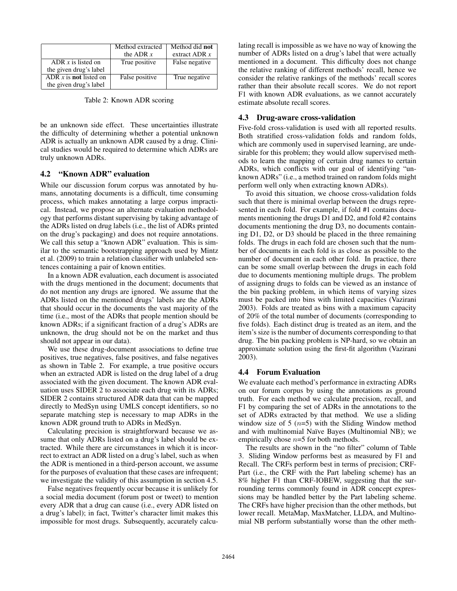|                                 | Method extracted<br>the ADR $x$ | Method did not<br>extract ADR $x$ |
|---------------------------------|---------------------------------|-----------------------------------|
| ADR $x$ is listed on            | True positive                   | False negative                    |
| the given drug's label          |                                 |                                   |
| ADR $x$ is <b>not</b> listed on | False positive                  | True negative                     |
| the given drug's label          |                                 |                                   |

Table 2: Known ADR scoring

be an unknown side effect. These uncertainties illustrate the difficulty of determining whether a potential unknown ADR is actually an unknown ADR caused by a drug. Clinical studies would be required to determine which ADRs are truly unknown ADRs.

### 4.2 "Known ADR" evaluation

While our discussion forum corpus was annotated by humans, annotating documents is a difficult, time consuming process, which makes annotating a large corpus impractical. Instead, we propose an alternate evaluation methodology that performs distant supervising by taking advantage of the ADRs listed on drug labels (i.e., the list of ADRs printed on the drug's packaging) and does not require annotations. We call this setup a "known ADR" evaluation. This is similar to the semantic bootstrapping approach used by Mintz et al. (2009) to train a relation classifier with unlabeled sentences containing a pair of known entities.

In a known ADR evaluation, each document is associated with the drugs mentioned in the document; documents that do not mention any drugs are ignored. We assume that the ADRs listed on the mentioned drugs' labels are the ADRs that should occur in the documents the vast majority of the time (i.e., most of the ADRs that people mention should be known ADRs; if a significant fraction of a drug's ADRs are unknown, the drug should not be on the market and thus should not appear in our data).

We use these drug-document associations to define true positives, true negatives, false positives, and false negatives as shown in Table 2. For example, a true positive occurs when an extracted ADR is listed on the drug label of a drug associated with the given document. The known ADR evaluation uses SIDER 2 to associate each drug with its ADRs; SIDER 2 contains structured ADR data that can be mapped directly to MedSyn using UMLS concept identifiers, so no separate matching step is necessary to map ADRs in the known ADR ground truth to ADRs in MedSyn.

Calculating precision is straightforward because we assume that only ADRs listed on a drug's label should be extracted. While there are circumstances in which it is incorrect to extract an ADR listed on a drug's label, such as when the ADR is mentioned in a third-person account, we assume for the purposes of evaluation that these cases are infrequent; we investigate the validity of this assumption in section 4.5.

False negatives frequently occur because it is unlikely for a social media document (forum post or tweet) to mention every ADR that a drug can cause (i.e., every ADR listed on a drug's label); in fact, Twitter's character limit makes this impossible for most drugs. Subsequently, accurately calculating recall is impossible as we have no way of knowing the number of ADRs listed on a drug's label that were actually mentioned in a document. This difficulty does not change the relative ranking of different methods' recall, hence we consider the relative rankings of the methods' recall scores rather than their absolute recall scores. We do not report F1 with known ADR evaluations, as we cannot accurately estimate absolute recall scores.

#### 4.3 Drug-aware cross-validation

Five-fold cross-validation is used with all reported results. Both stratified cross-validation folds and random folds, which are commonly used in supervised learning, are undesirable for this problem; they would allow supervised methods to learn the mapping of certain drug names to certain ADRs, which conflicts with our goal of identifying "unknown ADRs" (i.e., a method trained on random folds might perform well only when extracting known ADRs).

To avoid this situation, we choose cross-validation folds such that there is minimal overlap between the drugs represented in each fold. For example, if fold #1 contains documents mentioning the drugs D1 and D2, and fold #2 contains documents mentioning the drug D3, no documents containing D1, D2, or D3 should be placed in the three remaining folds. The drugs in each fold are chosen such that the number of documents in each fold is as close as possible to the number of document in each other fold. In practice, there can be some small overlap between the drugs in each fold due to documents mentioning multiple drugs. The problem of assigning drugs to folds can be viewed as an instance of the bin packing problem, in which items of varying sizes must be packed into bins with limited capacities (Vazirani 2003). Folds are treated as bins with a maximum capacity of 20% of the total number of documents (corresponding to five folds). Each distinct drug is treated as an item, and the item's size is the number of documents corresponding to that drug. The bin packing problem is NP-hard, so we obtain an approximate solution using the first-fit algorithm (Vazirani 2003).

### 4.4 Forum Evaluation

We evaluate each method's performance in extracting ADRs on our forum corpus by using the annotations as ground truth. For each method we calculate precision, recall, and F1 by comparing the set of ADRs in the annotations to the set of ADRs extracted by that method. We use a sliding window size of 5  $(n=5)$  with the Sliding Window method and with multinomial Naïve Bayes (Multinomial NB); we empirically chose  $n=5$  for both methods.

The results are shown in the "no filter" column of Table 3. Sliding Window performs best as measured by F1 and Recall. The CRFs perform best in terms of precision; CRF-Part (i.e., the CRF with the Part labeling scheme) has an 8% higher F1 than CRF-IOBEW, suggesting that the surrounding terms commonly found in ADR concept expressions may be handled better by the Part labeling scheme. The CRFs have higher precision than the other methods, but lower recall. MetaMap, MaxMatcher, LLDA, and Multinomial NB perform substantially worse than the other meth-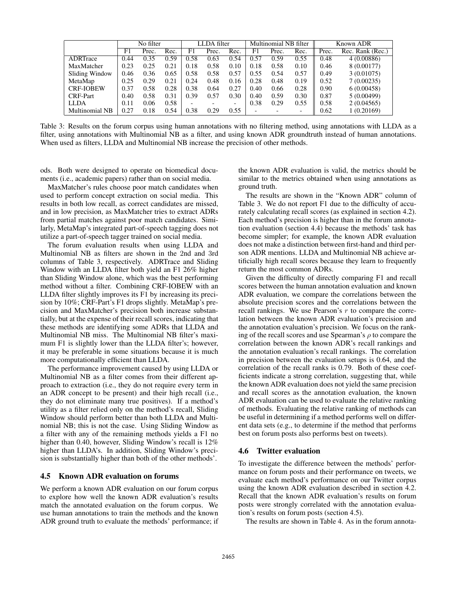|                  | No filter |       | LLDA filter |      | Multinomial NB filter |                          | Known ADR                |       |      |       |                  |
|------------------|-----------|-------|-------------|------|-----------------------|--------------------------|--------------------------|-------|------|-------|------------------|
|                  | F1        | Prec. | Rec.        | F1   | Prec.                 | Rec.                     | F1                       | Prec. | Rec. | Prec. | Rec. Rank (Rec.) |
| ADRTrace         | 0.44      | 0.35  | 0.59        | 0.58 | 0.63                  | 0.54                     | 0.57                     | 0.59  | 0.55 | 0.48  | 4(0.00886)       |
| MaxMatcher       | 0.23      | 0.25  | 0.21        | 0.18 | 0.58                  | 0.10                     | 0.18                     | 0.58  | 0.10 | 0.46  | 8 (0.00177)      |
| Sliding Window   | 0.46      | 0.36  | 0.65        | 0.58 | 0.58                  | 0.57                     | 0.55                     | 0.54  | 0.57 | 0.49  | 3(0.01075)       |
| MetaMap          | 0.25      | 0.29  | 0.21        | 0.24 | 0.48                  | 0.16                     | 0.28                     | 0.48  | 0.19 | 0.52  | 7(0.00235)       |
| <b>CRF-IOBEW</b> | 0.37      | 0.58  | 0.28        | 0.38 | 0.64                  | 0.27                     | 0.40                     | 0.66  | 0.28 | 0.90  | 6(0.00458)       |
| <b>CRF-Part</b>  | 0.40      | 0.58  | 0.31        | 0.39 | 0.57                  | 0.30                     | 0.40                     | 0.59  | 0.30 | 0.87  | 5(0.00499)       |
| LLDA             | 0.11      | 0.06  | 0.58        |      |                       | $\overline{\phantom{0}}$ | 0.38                     | 0.29  | 0.55 | 0.58  | 2(0.04565)       |
| Multinomial NB   | 0.27      | 0.18  | 0.54        | 0.38 | 0.29                  | 0.55                     | $\overline{\phantom{0}}$ |       |      | 0.62  | 1(0.20169)       |

Table 3: Results on the forum corpus using human annotations with no filtering method, using annotations with LLDA as a filter, using annotations with Multinomial NB as a filter, and using known ADR groundtruth instead of human annotations. When used as filters, LLDA and Multinomial NB increase the precision of other methods.

ods. Both were designed to operate on biomedical documents (i.e., academic papers) rather than on social media.

MaxMatcher's rules choose poor match candidates when used to perform concept extraction on social media. This results in both low recall, as correct candidates are missed, and in low precision, as MaxMatcher tries to extract ADRs from partial matches against poor match candidates. Similarly, MetaMap's integrated part-of-speech tagging does not utilize a part-of-speech tagger trained on social media.

The forum evaluation results when using LLDA and Multinomial NB as filters are shown in the 2nd and 3rd columns of Table 3, respectively. ADRTrace and Sliding Window with an LLDA filter both yield an F1 26% higher than Sliding Window alone, which was the best performing method without a filter. Combining CRF-IOBEW with an LLDA filter slightly improves its F1 by increasing its precision by 10%; CRF-Part's F1 drops slightly. MetaMap's precision and MaxMatcher's precision both increase substantially, but at the expense of their recall scores, indicating that these methods are identifying some ADRs that LLDA and Multinomial NB miss. The Multinomial NB filter's maximum F1 is slightly lower than the LLDA filter's; however, it may be preferable in some situations because it is much more computationally efficient than LLDA.

The performance improvement caused by using LLDA or Multinomial NB as a filter comes from their different approach to extraction (i.e., they do not require every term in an ADR concept to be present) and their high recall (i.e., they do not eliminate many true positives). If a method's utility as a filter relied only on the method's recall, Sliding Window should perform better than both LLDA and Multinomial NB; this is not the case. Using Sliding Window as a filter with any of the remaining methods yields a F1 no higher than 0.40, however, Sliding Window's recall is  $12\%$ higher than LLDA's. In addition, Sliding Window's precision is substantially higher than both of the other methods'.

### 4.5 Known ADR evaluation on forums

We perform a known ADR evaluation on our forum corpus to explore how well the known ADR evaluation's results match the annotated evaluation on the forum corpus. We use human annotations to train the methods and the known ADR ground truth to evaluate the methods' performance; if

the known ADR evaluation is valid, the metrics should be similar to the metrics obtained when using annotations as ground truth.

The results are shown in the "Known ADR" column of Table 3. We do not report F1 due to the difficulty of accurately calculating recall scores (as explained in section 4.2). Each method's precision is higher than in the forum annotation evaluation (section 4.4) because the methods' task has become simpler; for example, the known ADR evaluation does not make a distinction between first-hand and third person ADR mentions. LLDA and Multinomial NB achieve artificially high recall scores because they learn to frequently return the most common ADRs.

Given the difficulty of directly comparing F1 and recall scores between the human annotation evaluation and known ADR evaluation, we compare the correlations between the absolute precision scores and the correlations between the recall rankings. We use Pearson's r to compare the correlation between the known ADR evaluation's precision and the annotation evaluation's precision. We focus on the ranking of the recall scores and use Spearman's  $\rho$  to compare the correlation between the known ADR's recall rankings and the annotation evaluation's recall rankings. The correlation in precision between the evaluation setups is 0.64, and the correlation of the recall ranks is 0.79. Both of these coefficients indicate a strong correlation, suggesting that, while the known ADR evaluation does not yield the same precision and recall scores as the annotation evaluation, the known ADR evaluation can be used to evaluate the relative ranking of methods. Evaluating the relative ranking of methods can be useful in determining if a method performs well on different data sets (e.g., to determine if the method that performs best on forum posts also performs best on tweets).

### 4.6 Twitter evaluation

To investigate the difference between the methods' performance on forum posts and their performance on tweets, we evaluate each method's performance on our Twitter corpus using the known ADR evaluation described in section 4.2. Recall that the known ADR evaluation's results on forum posts were strongly correlated with the annotation evaluation's results on forum posts (section 4.5).

The results are shown in Table 4. As in the forum annota-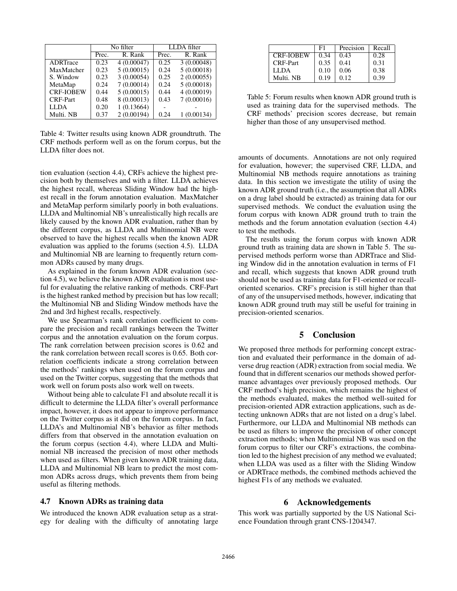|                  |                  | No filter   | LLDA filter |            |  |
|------------------|------------------|-------------|-------------|------------|--|
|                  | R. Rank<br>Prec. |             | Prec.       | R. Rank    |  |
| ADRTrace         | 0.23             | 4(0.00047)  | 0.25        | 3(0.00048) |  |
| MaxMatcher       | 0.23             | 5(0.00015)  | 0.24        | 5(0.00018) |  |
| S. Window        | 0.23             | 3(0.00054)  | 0.25        | 2(0.00055) |  |
| MetaMap          | 0.24             | 7(0.00014)  | 0.24        | 5(0.00018) |  |
| <b>CRF-IOBEW</b> | 0.44             | 5(0.00015)  | 0.44        | 4(0.00019) |  |
| <b>CRF-Part</b>  | 0.48             | 8 (0.00013) | 0.43        | 7(0.00016) |  |
| <b>LLDA</b>      | 0.20             | 1(0.13664)  |             |            |  |
| Multi. NB        | 0.37             | 2(0.00194)  | 0.24        | (0.00134)  |  |

Table 4: Twitter results using known ADR groundtruth. The CRF methods perform well as on the forum corpus, but the LLDA filter does not.

tion evaluation (section 4.4), CRFs achieve the highest precision both by themselves and with a filter. LLDA achieves the highest recall, whereas Sliding Window had the highest recall in the forum annotation evaluation. MaxMatcher and MetaMap perform similarly poorly in both evaluations. LLDA and Multinomial NB's unrealistically high recalls are likely caused by the known ADR evaluation, rather than by the different corpus, as LLDA and Multinomial NB were observed to have the highest recalls when the known ADR evaluation was applied to the forums (section 4.5). LLDA and Multinomial NB are learning to frequently return common ADRs caused by many drugs.

As explained in the forum known ADR evaluation (section 4.5), we believe the known ADR evaluation is most useful for evaluating the relative ranking of methods. CRF-Part is the highest ranked method by precision but has low recall; the Multinomial NB and Sliding Window methods have the 2nd and 3rd highest recalls, respectively.

We use Spearman's rank correlation coefficient to compare the precision and recall rankings between the Twitter corpus and the annotation evaluation on the forum corpus. The rank correlation between precision scores is 0.62 and the rank correlation between recall scores is 0.65. Both correlation coefficients indicate a strong correlation between the methods' rankings when used on the forum corpus and used on the Twitter corpus, suggesting that the methods that work well on forum posts also work well on tweets.

Without being able to calculate F1 and absolute recall it is difficult to determine the LLDA filter's overall performance impact, however, it does not appear to improve performance on the Twitter corpus as it did on the forum corpus. In fact, LLDA's and Multinomial NB's behavior as filter methods differs from that observed in the annotation evaluation on the forum corpus (section 4.4), where LLDA and Multinomial NB increased the precision of most other methods when used as filters. When given known ADR training data, LLDA and Multinomial NB learn to predict the most common ADRs across drugs, which prevents them from being useful as filtering methods.

#### 4.7 Known ADRs as training data

We introduced the known ADR evaluation setup as a strategy for dealing with the difficulty of annotating large

|                  | F1     | Precision | Recall |
|------------------|--------|-----------|--------|
| <b>CRF-IOBEW</b> | 0.34   | 0.43      | 0.28   |
| CRF-Part         | 0.35   | 0.41      | 0.31   |
| LLDA             | 0.10   | 0.06      | 0.38   |
| Multi. NB        | (1.19) | 0.12      | በ 39   |

Table 5: Forum results when known ADR ground truth is used as training data for the supervised methods. The CRF methods' precision scores decrease, but remain higher than those of any unsupervised method.

amounts of documents. Annotations are not only required for evaluation, however; the supervised CRF, LLDA, and Multinomial NB methods require annotations as training data. In this section we investigate the utility of using the known ADR ground truth (i.e., the assumption that all ADRs on a drug label should be extracted) as training data for our supervised methods. We conduct the evaluation using the forum corpus with known ADR ground truth to train the methods and the forum annotation evaluation (section 4.4) to test the methods.

The results using the forum corpus with known ADR ground truth as training data are shown in Table 5. The supervised methods perform worse than ADRTrace and Sliding Window did in the annotation evaluation in terms of F1 and recall, which suggests that known ADR ground truth should not be used as training data for F1-oriented or recalloriented scenarios. CRF's precision is still higher than that of any of the unsupervised methods, however, indicating that known ADR ground truth may still be useful for training in precision-oriented scenarios.

#### 5 Conclusion

We proposed three methods for performing concept extraction and evaluated their performance in the domain of adverse drug reaction (ADR) extraction from social media. We found that in different scenarios our methods showed performance advantages over previously proposed methods. Our CRF method's high precision, which remains the highest of the methods evaluated, makes the method well-suited for precision-oriented ADR extraction applications, such as detecting unknown ADRs that are not listed on a drug's label. Furthermore, our LLDA and Multinomial NB methods can be used as filters to improve the precision of other concept extraction methods; when Multinomial NB was used on the forum corpus to filter our CRF's extractions, the combination led to the highest precision of any method we evaluated; when LLDA was used as a filter with the Sliding Window or ADRTrace methods, the combined methods achieved the highest F1s of any methods we evaluated.

### 6 Acknowledgements

This work was partially supported by the US National Science Foundation through grant CNS-1204347.